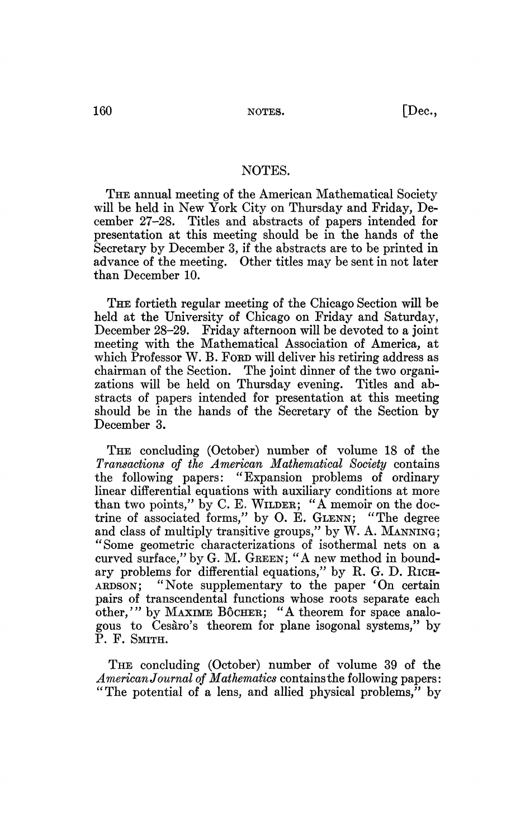## NOTES.

THE annual meeting of the American Mathematical Society will be held in New York City on Thursday and Friday, December 27-28. Titles and abstracts of papers intended for presentation at this meeting should be in the hands of the Secretary by December 3, if the abstracts are to be printed in advance of the meeting. Other titles may be sent in not later than December 10.

THE fortieth regular meeting of the Chicago Section will be held at the University of Chicago on Friday and Saturday, December 28-29. Friday afternoon will be devoted to a joint meeting with the Mathematical Association of America, at which Professor W. B. For will deliver his retiring address as chairman of the Section. The joint dinner of the two organizations will be held on Thursday evening. Titles and abstracts of papers intended for presentation at this meeting should be in the hands of the Secretary of the Section by December 3.

THE concluding (October) number of volume 18 of the *Transactions of the American Mathematical Society* contains the following papers: "Expansion problems of ordinary linear differential equations with auxiliary conditions at more than two points," by C. E. WILDER; "A memoir on the doctrine of associated forms," by O. E. GLENN; "The degree and class of multiply transitive groups," by W. A. MANNING; "Some geometric characterizations of isothermal nets on a curved surface," by G. M. GREEN; "A new method in boundary problems for differential equations," by R. G. D. RICH-ARDSON; "Note supplementary to the paper 'On certain pairs of transcendental functions whose roots separate each other/" by MAXIME BÔCHER; "A theorem for space analogous to Cesàro's theorem for plane isogonal systems," by P. F. SMITH.

THE concluding (October) number of volume 39 of the *American Journal of Mathematics* contains the following papers: "The potential of a lens, and allied physical problems," by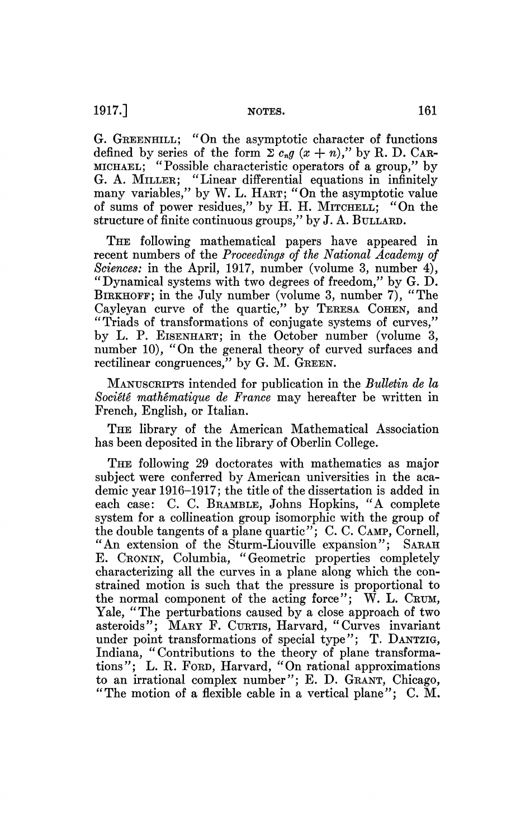G. GREENHILL; "On the asymptotic character of functions defined by series of the form  $\sum c_n g(x + n)$ ," by R. D. CAR-MICHAEL; "Possible characteristic operators of a group," by G. A. MILLER; "Linear differential equations in infinitely many variables," by W. L. HART; "On the asymptotic value of sums of power residues," by H. H. MITCHELL; "On the structure of finite continuous groups," by J. A. BULLARD.

THE following mathematical papers have appeared in recent numbers of the *Proceedings of the National Academy of Sciences:* in the April, 1917, number (volume 3, number 4), "Dynamical systems with two degrees of freedom," by G. D. BIRKHOFF; in the July number (volume 3, number 7), "The Cayleyan curve of the quartic," by TERESA COHEN, and "Triads of transformations of conjugate systems of curves," by L. P. EISENHART; in the October number (volume 3, number 10), "On the general theory of curved surfaces and rectilinear congruences," by G. M. GREEN.

MANUSCRIPTS intended for publication in the *Bulletin de la Société mathématique de France* may hereafter be written in French, English, or Italian.

THE library of the American Mathematical Association has been deposited in the library of Oberlin College.

THE following 29 doctorates with mathematics as major subject were conferred by American universities in the academic year 1916-1917; the title of the dissertation is added in each case: C. C. BRAMBLE, Johns Hopkins, "A complete system for a collineation group isomorphic with the group of the double tangents of a plane quartic"; C. C. CAMP, Cornell, "An extension of the Sturm-Liouville expansion"; SARAH E. CRONIN, Columbia, "Geometric properties completely characterizing all the curves in a plane along which the constrained motion is such that the pressure is proportional to the normal component of the acting force"; W. L. CRUM, Yale, "The perturbations caused by a close approach of two asteroids"; MARY F. CURTIS, Harvard, "Curves invariant under point transformations of special type"; T. DANTZIG, Indiana, "Contributions to the theory of plane transformations"; L. R. FORD, Harvard, "On rational approximations to an irrational complex number"; E. D. GRANT, Chicago, "The motion of a flexible cable in a vertical plane"; C. M.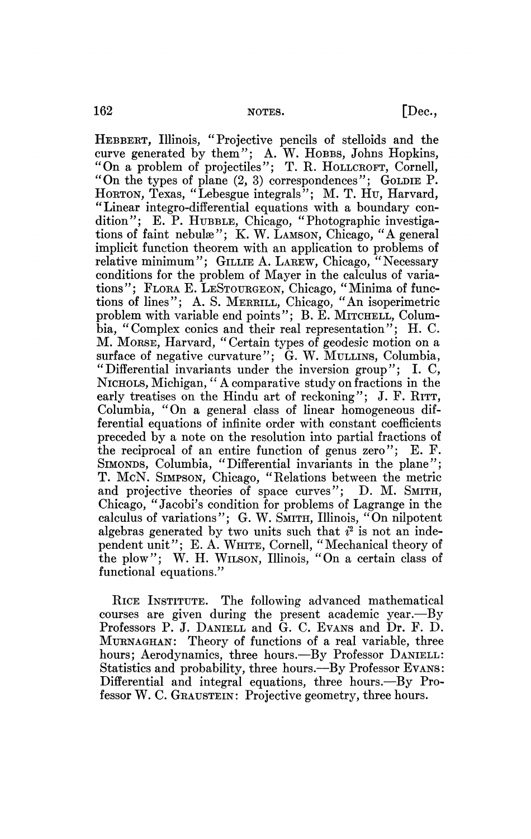HEBBERT, Illinois, "Projective pencils of stelloids and the curve generated by them"; A. W. HOBBS, Johns Hopkins, "On a problem of projectiles"; T. R. HOLLCROFT, Cornell, "On the types of plane (2, 3) correspondences"; GOLDIE P. HORTON, Texas, "Lebesgue integrals"; M. T. Hu, Harvard, "Linear integro-differential equations with a boundary condition"; E. P. HUBBLE, Chicago, "Photographic investigations of faint nebulae"; K. W. LAMSON, Chicago, "A general implicit function theorem with an application to problems of relative minimum"; GILLIE A. LAREW, Chicago, "Necessary conditions for the problem of Mayer in the calculus of variations"; FLORA E. LESTOURGEON, Chicago, "Minima of functions of lines"; A. S. MERRILL, Chicago, "An isoperimetric problem with variable end points"; B. E. MITCHELL, Columbia, "Complex conies and their real representation"; H. C. M. MORSE, Harvard, " Certain types of geodesic motion on a surface of negative curvature"; G. W. MULLINS, Columbia, "Differential invariants under the inversion group"; I. C, NICHOLS, Michigan, " A comparative study on fractions in the early treatises on the Hindu art of reckoning"; J. F. RITT, Columbia, "On a general class of linear homogeneous differential equations of infinite order with constant coefficients preceded by a note on the resolution into partial fractions of the reciprocal of an entire function of genus zero"; E. F. SIMONDS, Columbia, "Differential invariants in the plane"; T. McN. SIMPSON, Chicago, "Relations between the metric and projective theories of space curves"; D. M. SMITH, Chicago, " Jacobi's condition for problems of Lagrange in the calculus of variations"; G. W. SMITH, Illinois, "On nilpotent algebras generated by two units such that  $i^2$  is not an independent unit"; E. A. WHITE, Cornell, "Mechanical theory of the plow"; W. H. WILSON, Illinois, "On a certain class of functional equations."

RICE INSTITUTE. The following advanced mathematical courses are given during the present academic year.—By Professors P. J. DANIELL and G. C. EVANS and Dr. F. D. MURNAGHAN: Theory of functions of a real variable, three hours; Aerodynamics, three hours.—By Professor DANIELL: Statistics and probability, three hours.—By Professor EVANS: Differential and integral equations, three hours.—By Professor W. C. GRAUSTEIN: Projective geometry, three hours.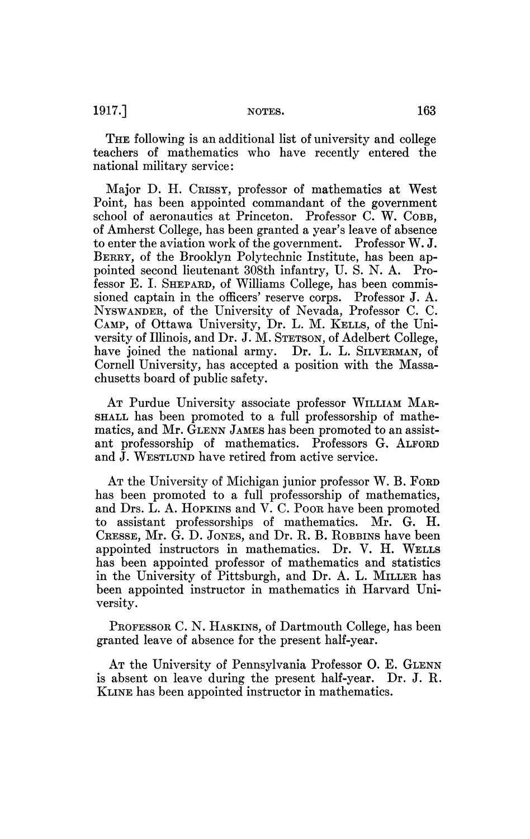THE following is an additional list of university and college teachers of mathematics who have recently entered the national military service:

Major D. H. CRISSY, professor of mathematics at West Point, has been appointed commandant of the government school of aeronautics at Princeton. Professor C. W. COBB, of Amherst College, has been granted a year's leave of absence to enter the aviation work of the government. Professor W. J. BERRY, of the Brooklyn Polytechnic Institute, has been appointed second lieutenant 308th infantry, U. S. N. A. Professor E. I. SHEPARD, of Williams College, has been commissioned captain in the officers' reserve corps. Professor J. A. NYSWANDER, of the University of Nevada, Professor C. C. CAMP, of Ottawa University, Dr. L. M. KELLS, of the University of Illinois, and Dr. J. M. STETSON, of Adelbert College, have joined the national army. Dr. L. L. SILVERMAN, of Cornell University, has accepted a position with the Massachusetts board of public safety.

AT Purdue University associate professor WILLIAM MAR-SHALL has been promoted to a full professorship of mathematics, and Mr. GLENN JAMES has been promoted to an assistant professorship of mathematics. Professors G. ALFORD and J. WESTLUND have retired from active service.

AT the University of Michigan junior professor W. B. FORD has been promoted to a full professorship of mathematics, and Drs. L. A. HOPKINS and V. C. POOR have been promoted to assistant professorships of mathematics. Mr. G. H. CRESSE, Mr. G. D. JONES, and Dr. R. B. ROBBINS have been appointed instructors in mathematics. Dr. V. H. WELLS has been appointed professor of mathematics and statistics in the University of Pittsburgh, and Dr. A. L. MILLER has been appointed instructor in mathematics in Harvard University.

PROFESSOR C. N. HASKINS, of Dartmouth College, has been granted leave of absence for the present half-year.

AT the University of Pennsylvania Professor O. E. GLENN is absent on leave during the present half-year. Dr. J. R. KLINE has been appointed instructor in mathematics.

 $1917.$ ] NOTES. 163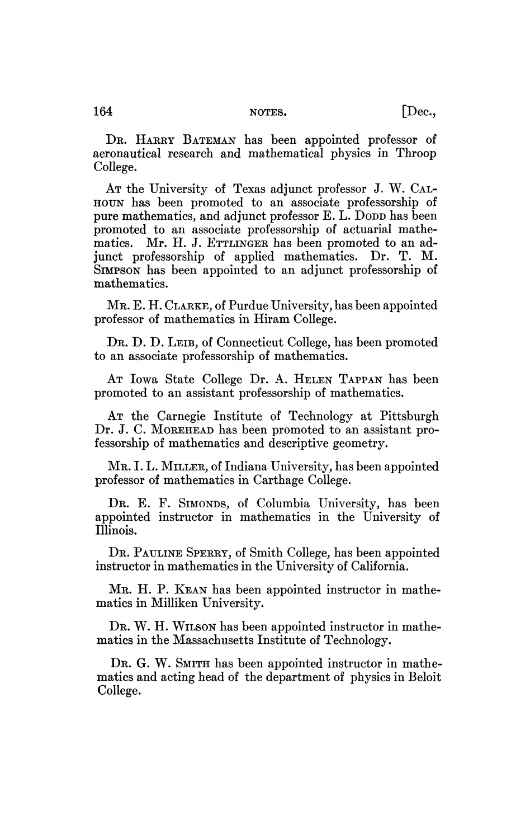DR. HARRY BATEMAN has been appointed professor of aeronautical research and mathematical physics in Throop College.

AT the University of Texas adjunct professor J. W. CAL-HOUN has been promoted to an associate professorship of pure mathematics, and adjunct professor E. L. DODD has been promoted to an associate professorship of actuarial mathematics. Mr. H. J. ETTLINGER has been promoted to an adjunct professorship of applied mathematics. Dr. T. M. SIMPSON has been appointed to an adjunct professorship of mathematics.

MR. E. H. CLARKE, of Purdue University, has been appointed professor of mathematics in Hiram College.

DR. D. D. LEIB, of Connecticut College, has been promoted to an associate professorship of mathematics.

AT Iowa State College Dr. A. HELEN TAPPAN has been promoted to an assistant professorship of mathematics.

AT the Carnegie Institute of Technology at Pittsburgh Dr. J. C. MOREHEAD has been promoted to an assistant professorship of mathematics and descriptive geometry.

MR. I. L. MILLER, of Indiana University, has been appointed professor of mathematics in Carthage College.

DR. E. F. SIMONDS, of Columbia University, has been appointed instructor in mathematics in the University of Illinois.

DR. PAULINE SPERRY, of Smith College, has been appointed instructor in mathematics in the University of California.

MR. H. P. KEAN has been appointed instructor in mathematics in Milliken University.

DR. W. H. WILSON has been appointed instructor in mathematics in the Massachusetts Institute of Technology.

DR. G. W. SMITH has been appointed instructor in mathematics and acting head of the department of physics in Beloit College.